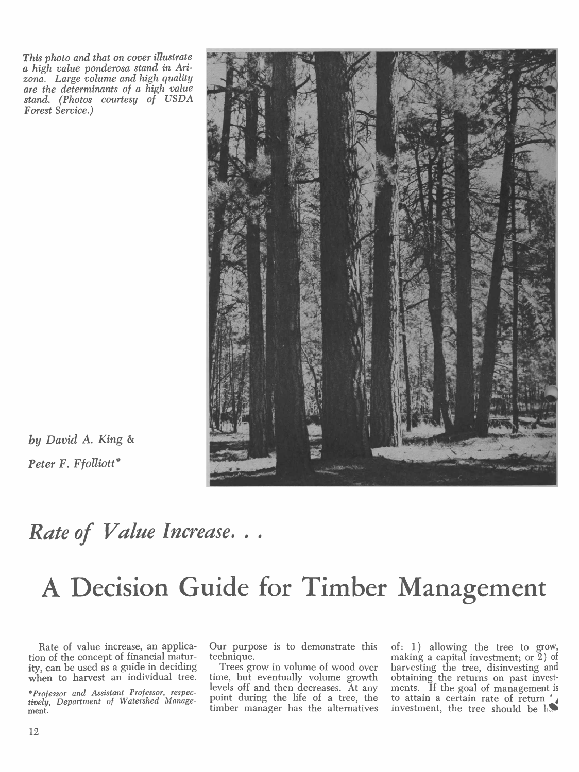This photo and that on cover illustrate a high value ponderosa stand in Arizona. Large volume and high quality are the determinants of a high value stand. (Photos courtesy of USDA Forest Service.)



by David A. King & Peter F. Ffolliott\*

### Rate of Value Increase...

# A Decision Guide for Timber Management

Rate of value increase, an application of the concept of financial matur-

\*Professor and Assistant Professor, respectively, Department of Watershed Management.

Our purpose is to demonstrate this technique.

ity, can be used as a guide in deciding Trees grow in volume of wood over<br>when to harvest an individual tree. time, but eventually volume growth<br>levels off and then decreases. At any Trees grow in volume of wood over time, but eventually volume growth point during the life of a tree, the timber manager has the alternatives of: 1) allowing the tree to grow, making a capital investment; or 2) of harvesting the tree, disinvesting and obtaining the returns on past investments. If the goal of management is to attain a certain rate of return investment, the tree should be  $\ln \theta$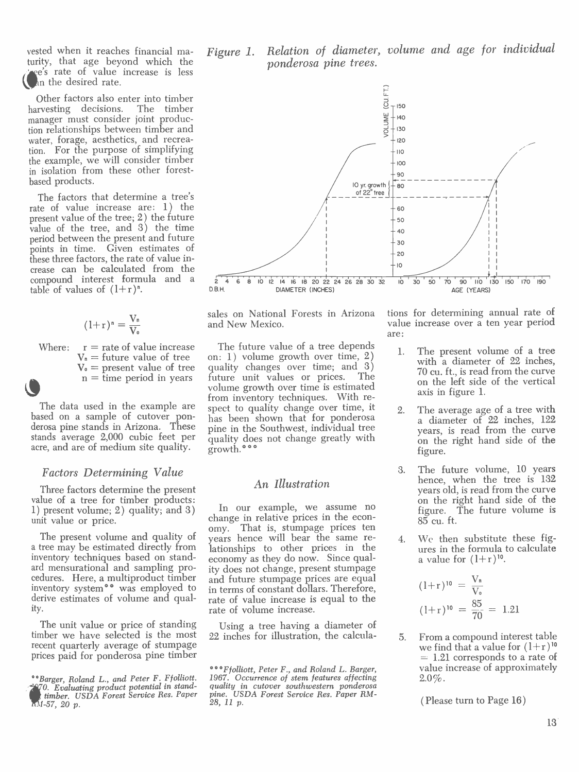vested when it reaches financial mavested when it reaches financial ma- $Figure 1.$ e's rate of value increase is less an the desired rate.

Other factors also enter into timber harvesting decisions. The timber manager must consider joint production relationships between timber and water, forage, aesthetics, and recreation. For the purpose of simplifying the example, we will consider timber in isolation from these other forestbased products.

The factors that determine a tree's rate of value increase are: 1) the present value of the tree; 2) the future value of the tree, and  $3)$  the time period between the present and future points in time. Given estimates of these three factors, the rate of value increase can be calculated from the compound interest formula and a  $\overline{2\ 4\ 6}$ <br>table of values of  $(1+r)^n$ . table of values of  $(1+r)^n$ .

$$
(1+r)^n = \frac{V_n}{V_o}
$$

 $V_n$  = future value of tree

stands average 2,000 cubic feet per acre, and are of medium site quality.

#### Factors Determining Value

Three factors determine the present value of a tree for timber products: 1) present volume; 2) quality; and 3) unit value or price.

The present volume and quality of vears a tree may be estimated directly from inventory techniques based on standard mensurational and sampling proard mensurational and sampling pro-<br>cedures. Here, a multiproduct timber<br>and future stumpage prices are equal inventory system\*\* was employed to derive estimates of volume and quality.

The unit value or price of standing timber we have selected is the most  $22$  inches for illustration, the calcularecent quarterly average of stumpage prices paid for ponderosa pine timber

Relation of diameter, volume and age for individual ponderosa pine trees.



and New Mexico.

Where:  $r =$  rate of value increase The future value of a tree depends<br>  $V_n =$  future value of tree on: 1) volume growth over time, 2)  $V_0$  = present value of tree quality changes over time; and n = time period in years future unit values or prices. The data used in the example are spect to quality change over time, it based on a sample of cutover pon- has been shown that for ponderosa derosa pine stands in Arizona. These pine in the Southwest, individual tree The future value of a tree depends  $\frac{1}{2}$ on: 1) volume growth over time, 2) with a diameter of 22 inches,<br>quality changes over time; and 3)  $\frac{3}{20}$  cu. ft., is read from the curve<br>future unit values or prices. The volume growth over time is estimated from inventory techniques. With respect to quality change over time, it  $\overline{p}$ quality does not change greatly with on the right hand side of the growth.<sup>\*\*\*</sup>

#### An Illustration

In our example, we assume no change in relative prices in the econ-That is, stumpage prices ten years hence will bear the same reyears hence will bear the same re-<br>lationships to other prices in the economy as they do now. Since qualand future stumpage prices are equal in terms of constant dollars. Therefore, rate of value increase is equal to the rate of volume increase.

Using a tree having a diameter of inches for illustration, the calcula- $\frac{5}{6}$ 

sales on National Forests in Arizona tions for determining annual rate of value increase over a ten year period are:

- The present volume of a tree 70 cu. ft., is read from the curve on the left side of the vertical axis in figure 1.
- The average age of a tree with a diameter of 22 inches, 122 years, is read from the curve figure.
- 3. The future volume, 10 years hence, when the tree is <sup>132</sup> on the right hand side of the figure. The future volume is 85 cu. ft.
- We then substitute these figures in the formula to calculate a value for  $(1+r)^{10}$ .

$$
(1+r)^{10} = \frac{V_n}{V_o}
$$

$$
(1+r)^{10} = \frac{85}{70} = 1.21
$$

5. From a compound interest table we find that a value for  $(1+r)^{10}$  $= 1.21$  corresponds to a rate of value increase of approximately 2.0%.

( Please turn to Page 16 )

timber. USDA Forest Service Res. Paper  $M$ -57, 20  $p$ .

<sup>\*\*</sup>Barger, Roland L., and Peter F. Ffolliott. 1967. Occurrence of stem features affecting 970. Evaluating product potential in stand- quality in cutover southwestern ponderosa<br>Limber, USDA Forest Service Res. Paper pine. USDA Forest Service Res. Paper RM-\*\*\* F folliott, Peter F., and Roland L. Barger, 1967. Occurrence of stem features affecting quality in cutover southwestern ponderosa pine. USDA Forest Service Res. Paper RM-  $28$ , 11 p.